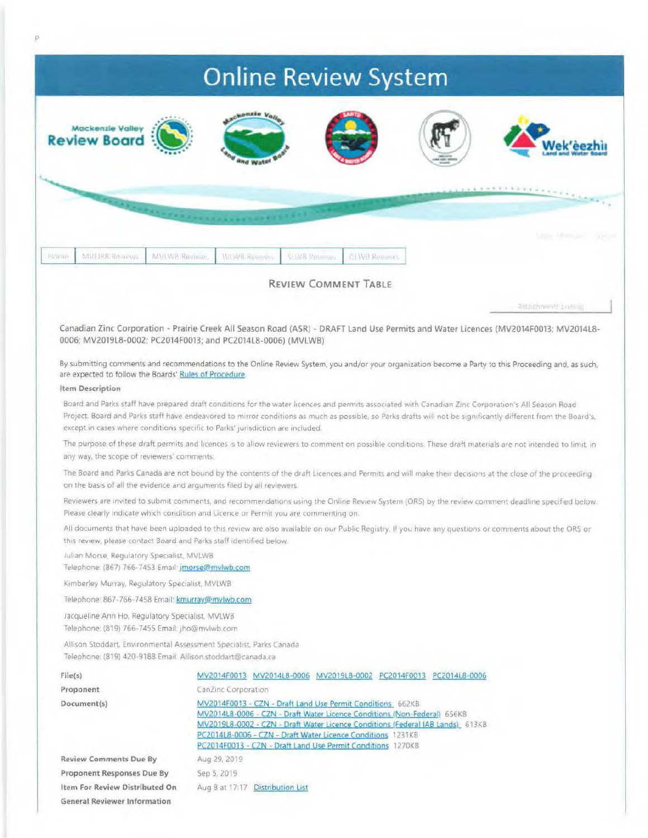## **Online Review System**



Telephone: (867) 766-7453 Email: jmorse@mvlwb.com

Kimberley Murray, Regulatory Specialist, MVLWB

Telephone: 867-766-7458 Email: kmurray@mvlwb.com

Jacqueline Ann Ho, Regulatory Specialist, MVLWB Telephone: (819) 766-7455 Email: jho@mvlwb.com

Allison Stoddart, Environmental Assessment Specialist, Parks Canada Telephone: (819) 420-9188 Email: Allison.stoddart@canada.ca

| File(s)                             | MV2014F0013 MV2014L8-0006 MV2019L8-0002 PC2014F0013 PC2014L8-0006                                                                                                                                                                                                                                                                                      |  |  |  |  |  |
|-------------------------------------|--------------------------------------------------------------------------------------------------------------------------------------------------------------------------------------------------------------------------------------------------------------------------------------------------------------------------------------------------------|--|--|--|--|--|
| Proponent                           | CanZinc Corporation                                                                                                                                                                                                                                                                                                                                    |  |  |  |  |  |
| Document(s)                         | MV2014F0013 - CZN - Draft Land Use Permit Conditions 662KB<br>MV2014L8-0006 - CZN - Draft Water Licence Conditions (Non-Federal) 656KB<br>MV2019L8-0002 - CZN - Draft Water Licence Conditions (Federal IAB Lands) 613KB<br>PC2014L8-0006 - CZN - Draft Water Licence Conditions 1231KB<br>PC2014F0013 - CZN - Draft Land Use Permit Conditions 1270KB |  |  |  |  |  |
| <b>Review Comments Due By</b>       | Aug 29, 2019                                                                                                                                                                                                                                                                                                                                           |  |  |  |  |  |
| Proponent Responses Due By          | Sep 5, 2019                                                                                                                                                                                                                                                                                                                                            |  |  |  |  |  |
| Item For Review Distributed On      | Aug 8 at 17:17 Distribution List                                                                                                                                                                                                                                                                                                                       |  |  |  |  |  |
| <b>General Reviewer Information</b> |                                                                                                                                                                                                                                                                                                                                                        |  |  |  |  |  |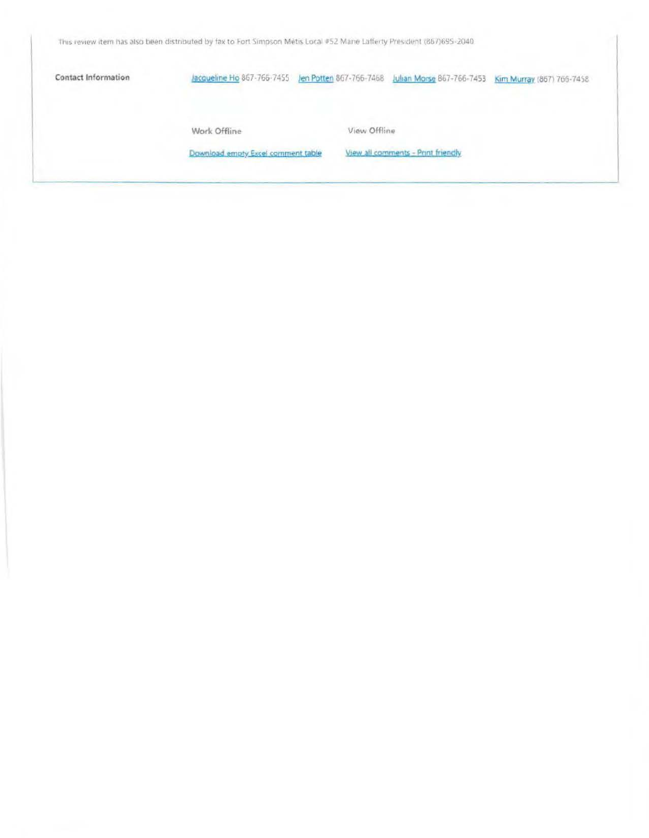This review item has also been distributed by fax to Fort Simpson Métis Local #52 Marie Lafferty President (867)695-2040.

**Contact Information** 

Jacqueline Ho 867-766-7455 Jen Potten 867-766-7468 Julian Morse 867-766-7453 Kim Murray (867) 766-7458

Work Offline

View Offline

Download empty Excel comment table

View all comments - Print friendly